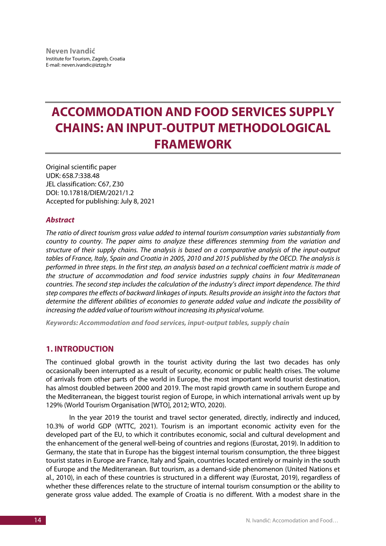# **ACCOMMODATION AND FOOD SERVICES SUPPLY CHAINS: AN INPUT-OUTPUT METHODOLOGICAL FRAMEWORK**

Original scientific paper UDK: 658.7:338.48 JEL classification: C67, Z30 DOI: 10.17818/DIEM/2021/1.2 Accepted for publishing: July 8, 2021

### *Abstract*

*The ratio of direct tourism gross value added to internal tourism consumption varies substantially from country to country. The paper aims to analyze these differences stemming from the variation and structure of their supply chains. The analysis is based on a comparative analysis of the input-output tables of France, Italy, Spain and Croatia in 2005, 2010 and 2015 published by the OECD. The analysis is performed in three steps. In the first step, an analysis based on a technical coefficient matrix is made of the structure of accommodation and food service industries supply chains in four Mediterranean countries. The second step includes the calculation of the industry's direct import dependence. The third step compares the effects of backward linkages of inputs. Results provide an insight into the factors that determine the different abilities of economies to generate added value and indicate the possibility of increasing the added value of tourism without increasing its physical volume.*

*Keywords: Accommodation and food services, input-output tables, supply chain*

## **1. INTRODUCTION**

The continued global growth in the tourist activity during the last two decades has only occasionally been interrupted as a result of security, economic or public health crises. The volume of arrivals from other parts of the world in Europe, the most important world tourist destination, has almost doubled between 2000 and 2019. The most rapid growth came in southern Europe and the Mediterranean, the biggest tourist region of Europe, in which international arrivals went up by 129% (World Tourism Organisation [WTO], 2012; WTO, 2020).

In the year 2019 the tourist and travel sector generated, directly, indirectly and induced, 10.3% of world GDP (WTTC, 2021). Tourism is an important economic activity even for the developed part of the EU, to which it contributes economic, social and cultural development and the enhancement of the general well-being of countries and regions (Eurostat, 2019). In addition to Germany, the state that in Europe has the biggest internal tourism consumption, the three biggest tourist states in Europe are France, Italy and Spain, countries located entirely or mainly in the south of Europe and the Mediterranean. But tourism, as a demand-side phenomenon (United Nations et al., 2010), in each of these countries is structured in a different way (Eurostat, 2019), regardless of whether these differences relate to the structure of internal tourism consumption or the ability to generate gross value added. The example of Croatia is no different. With a modest share in the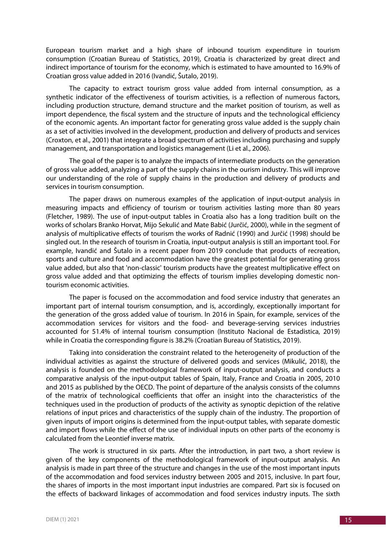European tourism market and a high share of inbound tourism expenditure in tourism consumption (Croatian Bureau of Statistics, 2019), Croatia is characterized by great direct and indirect importance of tourism for the economy, which is estimated to have amounted to 16.9% of Croatian gross value added in 2016 (Ivandić, Šutalo, 2019).

The capacity to extract tourism gross value added from internal consumption, as a synthetic indicator of the effectiveness of tourism activities, is a reflection of numerous factors, including production structure, demand structure and the market position of tourism, as well as import dependence, the fiscal system and the structure of inputs and the technological efficiency of the economic agents. An important factor for generating gross value added is the supply chain as a set of activities involved in the development, production and delivery of products and services (Croxton, et al., 2001) that integrate a broad spectrum of activities including purchasing and supply management, and transportation and logistics management (Li et al., 2006).

The goal of the paper is to analyze the impacts of intermediate products on the generation of gross value added, analyzing a part of the supply chains in the ourism industry. This will improve our understanding of the role of supply chains in the production and delivery of products and services in tourism consumption.

The paper draws on numerous examples of the application of input-output analysis in measuring impacts and efficiency of tourism or tourism activities lasting more than 80 years (Fletcher, 1989). The use of input-output tables in Croatia also has a long tradition built on the works of scholars Branko Horvat, Mijo Sekulić and Mate Babić (Jurčić, 2000), while in the segment of analysis of multiplicative effects of tourism the works of Radnić (1990) and Jurčić (1998) should be singled out. In the research of tourism in Croatia, input-output analysis is still an important tool. For example, Ivandić and Šutalo in a recent paper from 2019 conclude that products of recreation, sports and culture and food and accommodation have the greatest potential for generating gross value added, but also that 'non-classic' tourism products have the greatest multiplicative effect on gross value added and that optimizing the effects of tourism implies developing domestic nontourism economic activities.

The paper is focused on the accommodation and food service industry that generates an important part of internal tourism consumption, and is, accordingly, exceptionally important for the generation of the gross added value of tourism. In 2016 in Spain, for example, services of the accommodation services for visitors and the food- and beverage-serving services industries accounted for 51.4% of internal tourism consumption (Instituto Nacional de Estadistica, 2019) while in Croatia the corresponding figure is 38.2% (Croatian Bureau of Statistics, 2019).

Taking into consideration the constraint related to the heterogeneity of production of the individual activities as against the structure of delivered goods and services (Mikulić, 2018), the analysis is founded on the methodological framework of input-output analysis, and conducts a comparative analysis of the input-output tables of Spain, Italy, France and Croatia in 2005, 2010 and 2015 as published by the OECD. The point of departure of the analysis consists of the columns of the matrix of technological coefficients that offer an insight into the characteristics of the techniques used in the production of products of the activity as synoptic depiction of the relative relations of input prices and characteristics of the supply chain of the industry. The proportion of given inputs of import origins is determined from the input-output tables, with separate domestic and import flows while the effect of the use of individual inputs on other parts of the economy is calculated from the Leontief inverse matrix.

The work is structured in six parts. After the introduction, in part two, a short review is given of the key components of the methodological framework of input-output analysis. An analysis is made in part three of the structure and changes in the use of the most important inputs of the accommodation and food services industry between 2005 and 2015, inclusive. In part four, the shares of imports in the most important input industries are compared. Part six is focused on the effects of backward linkages of accommodation and food services industry inputs. The sixth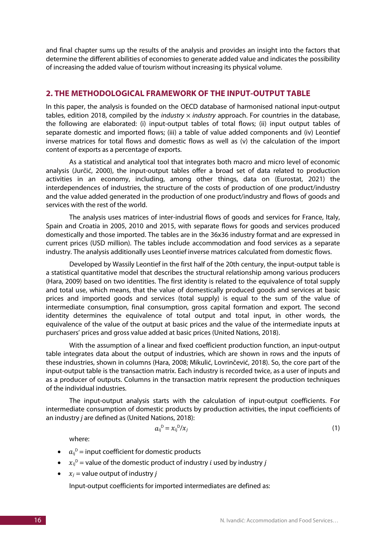and final chapter sums up the results of the analysis and provides an insight into the factors that determine the different abilities of economies to generate added value and indicates the possibility of increasing the added value of tourism without increasing its physical volume.

### **2. THE METHODOLOGICAL FRAMEWORK OF THE INPUT-OUTPUT TABLE**

In this paper, the analysis is founded on the OECD database of harmonised national input-output tables, edition 2018, compiled by the *industry* × *industry* approach. For countries in the database, the following are elaborated: (i) input-output tables of total flows; (ii) input output tables of separate domestic and imported flows; (iii) a table of value added components and (iv) Leontief inverse matrices for total flows and domestic flows as well as (v) the calculation of the import content of exports as a percentage of exports.

As a statistical and analytical tool that integrates both macro and micro level of economic analysis (Jurčić, 2000), the input-output tables offer a broad set of data related to production activities in an economy, including, among other things, data on (Eurostat, 2021) the interdependences of industries, the structure of the costs of production of one product/industry and the value added generated in the production of one product/industry and flows of goods and services with the rest of the world.

The analysis uses matrices of inter-industrial flows of goods and services for France, Italy, Spain and Croatia in 2005, 2010 and 2015, with separate flows for goods and services produced domestically and those imported. The tables are in the 36x36 industry format and are expressed in current prices (USD million). The tables include accommodation and food services as a separate industry. The analysis additionally uses Leontief inverse matrices calculated from domestic flows.

Developed by Wassily Leontief in the first half of the 20th century, the input-output table is a statistical quantitative model that describes the structural relationship among various producers (Hara, 2009) based on two identities. The first identity is related to the equivalence of total supply and total use, which means, that the value of domestically produced goods and services at basic prices and imported goods and services (total supply) is equal to the sum of the value of intermediate consumption, final consumption, gross capital formation and export. The second identity determines the equivalence of total output and total input, in other words, the equivalence of the value of the output at basic prices and the value of the intermediate inputs at purchasers' prices and gross value added at basic prices (United Nations, 2018).

With the assumption of a linear and fixed coefficient production function, an input-output table integrates data about the output of industries, which are shown in rows and the inputs of these industries, shown in columns (Hara, 2008; Mikulić, Lovrinčević, 2018). So, the core part of the input-output table is the transaction matrix. Each industry is recorded twice, as a user of inputs and as a producer of outputs. Columns in the transaction matrix represent the production techniques of the individual industries.

The input-output analysis starts with the calculation of input-output coefficients. For intermediate consumption of domestic products by production activities, the input coefficients of an industry *j* are defined as (United Nations, 2018):

$$
a_{ij}^D = x_{ij}^D / x_j \tag{1}
$$

where:

- $\bullet$   $a_{ij}^D$  = input coefficient for domestic products
- $x_{ij}^D$  = value of the domestic product of industry *i* used by industry *j*
- $x_i$  = value output of industry *i*

Input-output coefficients for imported intermediates are defined as: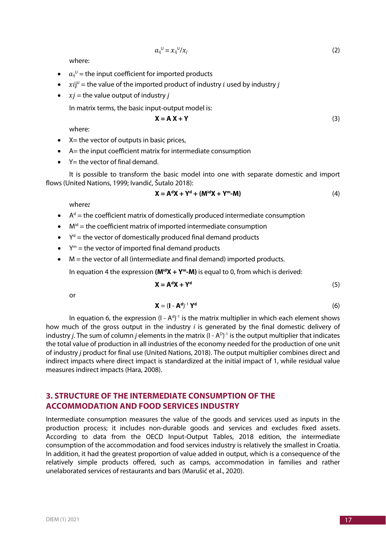$$
a_{ij}^{\ \cup} = x_{ij}^{\ \cup}/x_j \tag{2}
$$

where:

- $\bullet$  a<sub>ij</sub><sup>0</sup> = the input coefficient for imported products
- $xi$   $ji^{\text{U}}$  = the value of the imported product of industry *i* used by industry *j*
- $xi =$  the value output of industry *j*

In matrix terms, the basic input-output model is:

$$
X = A X + Y
$$
 (3)

where:

- $\bullet$  X = the vector of outputs in basic prices,
- A= the input coefficient matrix for intermediate consumption
- $\bullet$  Y = the vector of final demand.

It is possible to transform the basic model into one with separate domestic and import flows (United Nations, 1999; Ivandić, Šutalo 2018):

$$
\mathbf{X} = \mathbf{A}^d \mathbf{X} + \mathbf{Y}^d + (\mathbf{M}^{id} \mathbf{X} + \mathbf{Y}^m \cdot \mathbf{M})
$$
 (4)

where*:*

- $\bullet$   $A^d$  = the coefficient matrix of domestically produced intermediate consumption
- $\bullet$   $M^{id}$  = the coefficient matrix of imported intermediate consumption
- $Y<sup>d</sup>$  = the vector of domestically produced final demand products
- $\bullet$   $Y^m$  = the vector of imported final demand products
- M = the vector of all (intermediate and final demand) imported products.

In equation 4 the expression  $(M^{id}X + Y^m - M)$  is equal to 0, from which is derived:

$$
X = AdX + Yd
$$
 (5)

or

$$
\mathbf{X} = (\mathbf{I} - \mathbf{A}^d)^{-1} \mathbf{Y}^d
$$
 (6)

In equation 6, the expression  $(I - A<sup>d</sup>)<sup>-1</sup>$  is the matrix multiplier in which each element shows how much of the gross output in the industry *i* is generated by the final domestic delivery of industry *j*. The sum of column *j* elements in the matrix (I -  $A^{D}$ )<sup>-1</sup> is the output multiplier that indicates the total value of production in all industries of the economy needed for the production of one unit of industry *j* product for final use (United Nations, 2018). The output multiplier combines direct and indirect impacts where direct impact is standardized at the initial impact of 1, while residual value measures indirect impacts (Hara, 2008).

## **3. STRUCTURE OF THE INTERMEDIATE CONSUMPTION OF THE ACCOMMODATION AND FOOD SERVICES INDUSTRY**

Intermediate consumption measures the value of the goods and services used as inputs in the production process; it includes non-durable goods and services and excludes fixed assets. According to data from the OECD Input-Output Tables, 2018 edition, the intermediate consumption of the accommodation and food services industry is relatively the smallest in Croatia. In addition, it had the greatest proportion of value added in output, which is a consequence of the relatively simple products offered, such as camps, accommodation in families and rather unelaborated services of restaurants and bars (Marušić et al., 2020).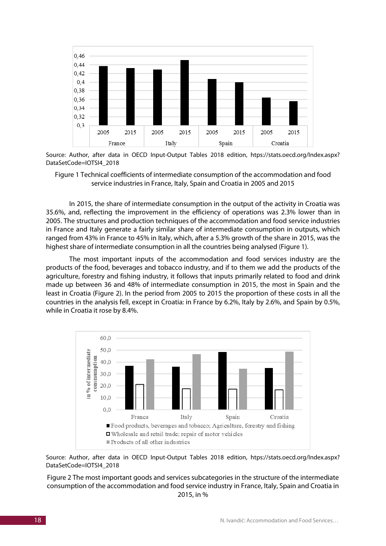

Source: Author, after data in OECD Input-Output Tables 2018 edition, htps://stats.oecd.org/Index.aspx? DataSetCode=IOTSI4\_2018

Figure 1 Technical coefficients of intermediate consumption of the accommodation and food service industries in France, Italy, Spain and Croatia in 2005 and 2015

In 2015, the share of intermediate consumption in the output of the activity in Croatia was 35.6%, and, reflecting the improvement in the efficiency of operations was 2.3% lower than in 2005. The structures and production techniques of the accommodation and food service industries in France and Italy generate a fairly similar share of intermediate consumption in outputs, which ranged from 43% in France to 45% in Italy, which, after a 5.3% growth of the share in 2015, was the highest share of intermediate consumption in all the countries being analysed (Figure 1).

The most important inputs of the accommodation and food services industry are the products of the food, beverages and tobacco industry, and if to them we add the products of the agriculture, forestry and fishing industry, it follows that inputs primarily related to food and drink made up between 36 and 48% of intermediate consumption in 2015, the most in Spain and the least in Croatia (Figure 2). In the period from 2005 to 2015 the proportion of these costs in all the countries in the analysis fell, except in Croatia: in France by 6.2%, Italy by 2.6%, and Spain by 0.5%, while in Croatia it rose by 8.4%.



Source: Author, after data in OECD Input-Output Tables 2018 edition, htps://stats.oecd.org/Index.aspx? DataSetCode=IOTSI4\_2018

Figure 2 The most important goods and services subcategories in the structure of the intermediate consumption of the accommodation and food service industry in France, Italy, Spain and Croatia in 2015, in %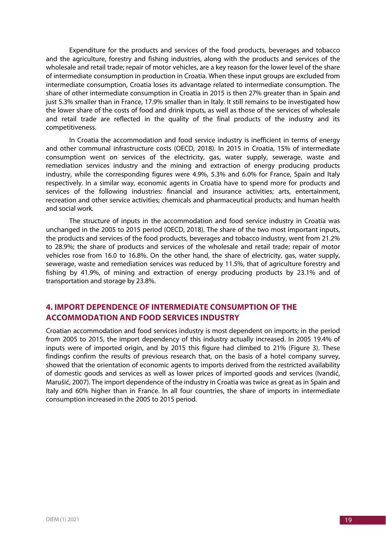Expenditure for the products and services of the food products, beverages and tobacco and the agriculture, forestry and fishing industries, along with the products and services of the wholesale and retail trade; repair of motor vehicles, are a key reason for the lower level of the share of intermediate consumption in production in Croatia. When these input groups are excluded from intermediate consumption, Croatia loses its advantage related to intermediate consumption. The share of other intermediate consumption in Croatia in 2015 is then 27% greater than in Spain and just 5.3% smaller than in France, 17.9% smaller than in Italy. It still remains to be investigated how the lower share of the costs of food and drink inputs, as well as those of the services of wholesale and retail trade are reflected in the quality of the final products of the industry and its competitiveness.

In Croatia the accommodation and food service industry is inefficient in terms of energy and other communal infrastructure costs (OECD, 2018). In 2015 in Croatia, 15% of intermediate consumption went on services of the electricity, gas, water supply, sewerage, waste and remediation services industry and the mining and extraction of energy producing products industry, while the corresponding figures were 4.9%, 5.3% and 6.0% for France, Spain and Italy respectively. In a similar way, economic agents in Croatia have to spend more for products and services of the following industries: financial and insurance activities; arts, entertainment, recreation and other service activities; chemicals and pharmaceutical products; and human health and social work.

The structure of inputs in the accommodation and food service industry in Croatia was unchanged in the 2005 to 2015 period (OECD, 2018). The share of the two most important inputs, the products and services of the food products, beverages and tobacco industry, went from 21.2% to 28.9%; the share of products and services of the wholesale and retail trade; repair of motor vehicles rose from 16.0 to 16.8%. On the other hand, the share of electricity, gas, water supply, sewerage, waste and remediation services was reduced by 11.5%, that of agriculture forestry and fishing by 41.9%, of mining and extraction of energy producing products by 23.1% and of transportation and storage by 23.8%.

## **4. IMPORT DEPENDENCE OF INTERMEDIATE CONSUMPTION OF THE ACCOMMODATION AND FOOD SERVICES INDUSTRY**

Croatian accommodation and food services industry is most dependent on imports; in the period from 2005 to 2015, the import dependency of this industry actually increased. In 2005 19.4% of inputs were of imported origin, and by 2015 this figure had climbed to 21% (Figure 3). These findings confirm the results of previous research that, on the basis of a hotel company survey, showed that the orientation of economic agents to imports derived from the restricted availability of domestic goods and services as well as lower prices of imported goods and services (Ivandić, Marušić, 2007). The import dependence of the industry in Croatia was twice as great as in Spain and Italy and 60% higher than in France. In all four countries, the share of imports in intermediate consumption increased in the 2005 to 2015 period.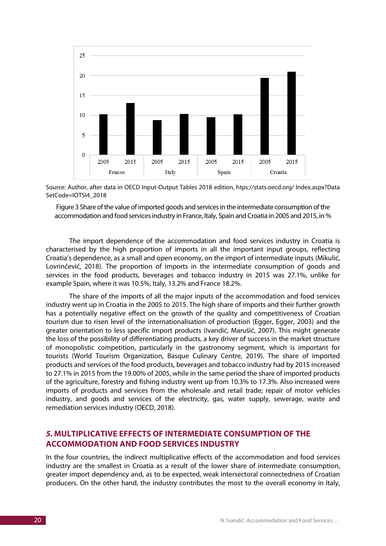

Source: Author, after data in OECD Input-Output Tables 2018 edition, htps://stats.oecd.org/ Index.aspx?Data SetCode=IOTSI4\_2018

Figure 3 Share of the value of imported goods and services in the intermediate consumption of the accommodation and food services industry in France, Italy, Spain and Croatia in 2005 and 2015, in %

The import dependence of the accommodation and food services industry in Croatia is characterised by the high proportion of imports in all the important input groups, reflecting Croatia's dependence, as a small and open economy, on the import of intermediate inputs (Mikulić, Lovrinčević, 2018). The proportion of imports in the intermediate consumption of goods and services in the food products, beverages and tobacco industry in 2015 was 27.1%, unlike for example Spain, where it was 10.5%, Italy, 13.2% and France 18.2%.

The share of the imports of all the major inputs of the accommodation and food services industry went up in Croatia in the 2005 to 2015. The high share of imports and their further growth has a potentially negative effect on the growth of the quality and competitiveness of Croatian tourism due to risen level of the internationalisation of production (Egger, Egger, 2003) and the greater orientation to less specific import products (Ivandić, Marušić, 2007). This might generate the loss of the possibility of differentiating products, a key driver of success in the market structure of monopolistic competition, particularly in the gastronomy segment, which is important for tourists (World Tourism Organization, Basque Culinary Centre, 2019). The share of imported products and services of the food products, beverages and tobacco industry had by 2015 increased to 27.1% in 2015 from the 19.00% of 2005, while in the same period the share of imported products of the agriculture, forestry and fishing industry went up from 10.3% to 17.3%. Also increased were imports of products and services from the wholesale and retail trade; repair of motor vehicles industry, and goods and services of the electricity, gas, water supply, sewerage, waste and remediation services industry (OECD, 2018).

## *5.* **MULTIPLICATIVE EFFECTS OF INTERMEDIATE CONSUMPTION OF THE ACCOMMODATION AND FOOD SERVICES INDUSTRY**

In the four countries, the indirect multiplicative effects of the accommodation and food services industry are the smallest in Croatia as a result of the lower share of intermediate consumption, greater import dependency and, as to be expected, weak intersectoral connectedness of Croatian producers. On the other hand, the industry contributes the most to the overall economy in Italy,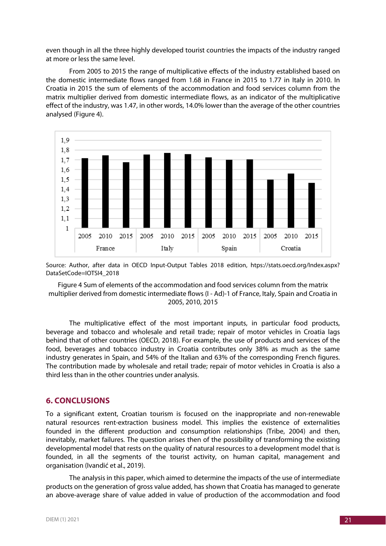even though in all the three highly developed tourist countries the impacts of the industry ranged at more or less the same level.

From 2005 to 2015 the range of multiplicative effects of the industry established based on the domestic intermediate flows ranged from 1.68 in France in 2015 to 1.77 in Italy in 2010. In Croatia in 2015 the sum of elements of the accommodation and food services column from the matrix multiplier derived from domestic intermediate flows, as an indicator of the multiplicative effect of the industry, was 1.47, in other words, 14.0% lower than the average of the other countries analysed (Figure 4).



Source: Author, after data in OECD Input-Output Tables 2018 edition, htps://stats.oecd.org/Index.aspx? DataSetCode=IOTSI4\_2018

Figure 4 Sum of elements of the accommodation and food services column from the matrix multiplier derived from domestic intermediate flows (I - Ad)-1 of France, Italy, Spain and Croatia in 2005, 2010, 2015

The multiplicative effect of the most important inputs, in particular food products, beverage and tobacco and wholesale and retail trade; repair of motor vehicles in Croatia lags behind that of other countries (OECD, 2018). For example, the use of products and services of the food, beverages and tobacco industry in Croatia contributes only 38% as much as the same industry generates in Spain, and 54% of the Italian and 63% of the corresponding French figures. The contribution made by wholesale and retail trade; repair of motor vehicles in Croatia is also a third less than in the other countries under analysis.

#### **6. CONCLUSIONS**

To a significant extent, Croatian tourism is focused on the inappropriate and non-renewable natural resources rent-extraction business model. This implies the existence of externalities founded in the different production and consumption relationships (Tribe, 2004) and then, inevitably, market failures. The question arises then of the possibility of transforming the existing developmental model that rests on the quality of natural resources to a development model that is founded, in all the segments of the tourist activity, on human capital, management and organisation (Ivandić et al., 2019).

The analysis in this paper, which aimed to determine the impacts of the use of intermediate products on the generation of gross value added, has shown that Croatia has managed to generate an above-average share of value added in value of production of the accommodation and food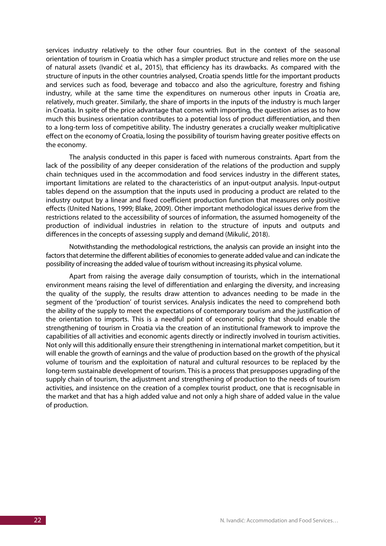services industry relatively to the other four countries. But in the context of the seasonal orientation of tourism in Croatia which has a simpler product structure and relies more on the use of natural assets (Ivandić et al., 2015), that efficiency has its drawbacks. As compared with the structure of inputs in the other countries analysed, Croatia spends little for the important products and services such as food, beverage and tobacco and also the agriculture, forestry and fishing industry, while at the same time the expenditures on numerous other inputs in Croatia are, relatively, much greater. Similarly, the share of imports in the inputs of the industry is much larger in Croatia. In spite of the price advantage that comes with importing, the question arises as to how much this business orientation contributes to a potential loss of product differentiation, and then to a long-term loss of competitive ability. The industry generates a crucially weaker multiplicative effect on the economy of Croatia, losing the possibility of tourism having greater positive effects on the economy.

The analysis conducted in this paper is faced with numerous constraints. Apart from the lack of the possibility of any deeper consideration of the relations of the production and supply chain techniques used in the accommodation and food services industry in the different states, important limitations are related to the characteristics of an input-output analysis. Input-output tables depend on the assumption that the inputs used in producing a product are related to the industry output by a linear and fixed coefficient production function that measures only positive effects (United Nations, 1999; Blake, 2009). Other important methodological issues derive from the restrictions related to the accessibility of sources of information, the assumed homogeneity of the production of individual industries in relation to the structure of inputs and outputs and differences in the concepts of assessing supply and demand (Mikulić, 2018).

Notwithstanding the methodological restrictions, the analysis can provide an insight into the factors that determine the different abilities of economies to generate added value and can indicate the possibility of increasing the added value of tourism without increasing its physical volume.

Apart from raising the average daily consumption of tourists, which in the international environment means raising the level of differentiation and enlarging the diversity, and increasing the quality of the supply, the results draw attention to advances needing to be made in the segment of the 'production' of tourist services. Analysis indicates the need to comprehend both the ability of the supply to meet the expectations of contemporary tourism and the justification of the orientation to imports. This is a needful point of economic policy that should enable the strengthening of tourism in Croatia via the creation of an institutional framework to improve the capabilities of all activities and economic agents directly or indirectly involved in tourism activities. Not only will this additionally ensure their strengthening in international market competition, but it will enable the growth of earnings and the value of production based on the growth of the physical volume of tourism and the exploitation of natural and cultural resources to be replaced by the long-term sustainable development of tourism. This is a process that presupposes upgrading of the supply chain of tourism, the adjustment and strengthening of production to the needs of tourism activities, and insistence on the creation of a complex tourist product, one that is recognisable in the market and that has a high added value and not only a high share of added value in the value of production.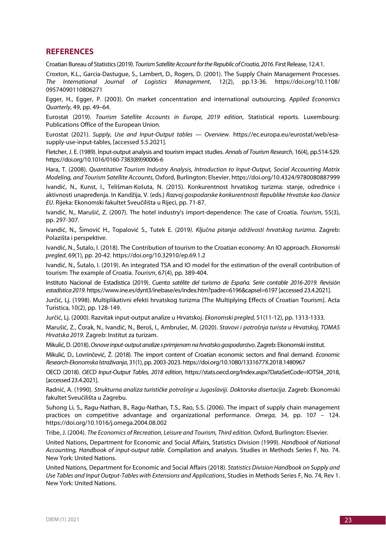### **REFERENCES**

Croatian Bureau of Statistics (2019). *Tourism Satellite Account for the Republic of Croatia, 2016*. First Release, 12.4.1.

Croxton, K.L., Garcia-Dastugue, S., Lambert, D., Rogers, D. (2001). The Supply Chain Management Processes. *The International Journal of Logistics Management*, 12(2), pp.13-36. https://doi.org/10.1108/ 09574090110806271

Egger, H., Egger, P. (2003). On market concentration and international outsourcing. *Applied Economics Quarterly*, 49, pp. 49–64.

Eurostat (2019). *Tourism Satellite Accounts in Europe, 2019 edition*, Statistical reports. Luxembourg: Publications Office of the European Union.

Eurostat (2021). *Supply, Use and Input-Output tables — Overview.* https://ec.europa.eu/eurostat/web/esasupply-use-input-tables, [accessed 5.5.2021].

Fletcher, J. E. (1989). Input-output analysis and tourism impact studies. *Annals of Tourism Research*, 16(4), pp.514-529. https://doi.org/10.1016/0160-7383(89)90006-6

Hara, T. (2008). *Quantitative Tourism Industry Analysis, Introduction to Input-Output, Social Accounting Matrix Modeling, and Tourism Satellite Accounts*, Oxford, Burlington: Elsevier. https://doi.org/10.4324/9780080887999

Ivandić, N., Kunst, I., Telišman-Košuta, N. (2015). Konkurentnost hrvatskog turizma: stanje, odrednice i aktivnosti unapređenja. In Kandžija, V. (eds.) *Razvoj gospodarske konkurentnosti Republike Hrvatske kao članice EU*. Rijeka: Ekonomski fakultet Sveučilišta u Rijeci, pp. 71-87.

Ivandić, N., Marušić, Z. (2007). The hotel industry's import-dependence: The case of Croatia. *Tourism*, 55(3), pp. 297-307.

Ivandić, N., Šimović H., Topalović S., Tutek E. (2019*). Ključna pitanja održivosti hrvatskog turizma*. Zagreb: Polazišta i perspektive.

Ivandić, N., Šutalo, I. (2018). The Contribution of tourism to the Croatian economy: An IO approach. *Ekonomski pregled*, 69(1), pp. 20-42. https://doi.org/10.32910/ep.69.1.2

Ivandić, N., Šutalo, I. (2019). An integrated TSA and IO model for the estimation of the overall contribution of tourism: The example of Croatia. *Tourism*, 67(4), pp. 389-404.

Instituto Nacional de Estadistica (2019). *Cuenta satélite del turismo de España. Serie contable 2016-2019. Revisión estadística 2019*. https://www.ine.es/dynt3/inebase/es/index.htm?padre=6196&capsel=6197 [accessed 23.4.2021].

Jurčić, Lj. (1998). Multiplikativni efekti hrvatskog turizma [The Multiplying Effects of Croatian Tourism]. Acta Turistica, 10(2), pp. 128-149.

Jurčić, Lj. (2000). Razvitak input-output analize u Hrvatskoj. *Ekonomski pregled,* 51(11-12), pp. 1313-1333.

Marušić, Z., Čorak, N., Ivandić, N., Beroš, I., Ambrušec, M. (2020). *Stavovi i potrošnja turista u Hrvatskoj, TOMAS Hrvatska 2019.* Zagreb: Institut za turizam.

Mikulić, D. (2018). *Osnove input-output analize s primjenom na hrvatsko gospodarstvo*. Zagreb: Ekonomski institut.

Mikulić, D., Lovrinčević, Ž. (2018). The import content of Croatian economic sectors and final demand. *Economic Research-Ekonomska Istraživanja*, 31(1), pp. 2003-2023. https://doi.org/10.1080/1331677X.2018.1480967

OECD (2018). *OECD Input-Output Tables, 2018 edition*, https://stats.oecd.org/Index.aspx?DataSetCode=IOTSI4\_2018, [accessed 23.4.2021].

Radnić, A. (1990). *Strukturna analiza turističke potrošnje u Jugoslaviji. Doktorska disertacija*. Zagreb: Ekonomski fakultet Sveučilišta u Zagrebu.

Suhong Li, S., Ragu-Nathan, B., Ragu-Nathan, T.S., Rao, S.S. (2006). The impact of supply chain management practices on competitive advantage and organizational performance. *Omega,* 34, pp. 107 – 124. https://doi.org/10.1016/j.omega.2004.08.002

Tribe, J. (2004). *The Economics of Recreation, Leisure and Tourism, Third edition*. Oxford, Burlington: Elsevier.

United Nations, Department for Economic and Social Affairs, Statistics Division (1999). *Handbook of National Accounting, Handbook of input-output table*. Compilation and analysis. Studies in Methods Series F, No. 74. New York: United Nations.

United Nations, Department for Economic and Social Affairs (2018). *Statistics Division Handbook on Supply and Use Tables and Input Output-Tables with Extensions and Applications*, Studies in Methods Series F, No. 74, Rev 1. New York: United Nations.